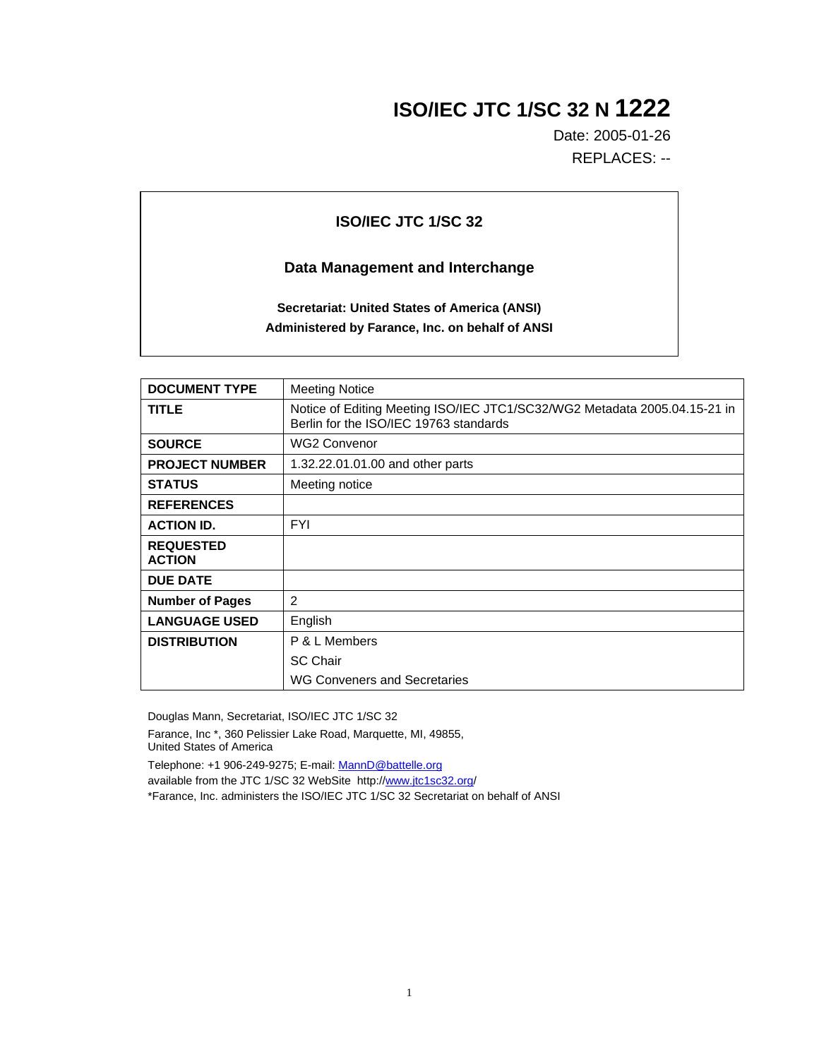## **ISO/IEC JTC 1/SC 32 N 1222**

Date: 2005-01-26 REPLACES: --

## **ISO/IEC JTC 1/SC 32**

## **Data Management and Interchange**

**Secretariat: United States of America (ANSI) Administered by Farance, Inc. on behalf of ANSI**

| <b>DOCUMENT TYPE</b>              | <b>Meeting Notice</b>                                                                                               |
|-----------------------------------|---------------------------------------------------------------------------------------------------------------------|
| <b>TITLE</b>                      | Notice of Editing Meeting ISO/IEC JTC1/SC32/WG2 Metadata 2005.04.15-21 in<br>Berlin for the ISO/IEC 19763 standards |
| <b>SOURCE</b>                     | <b>WG2 Convenor</b>                                                                                                 |
| <b>PROJECT NUMBER</b>             | 1.32.22.01.01.00 and other parts                                                                                    |
| <b>STATUS</b>                     | Meeting notice                                                                                                      |
| <b>REFERENCES</b>                 |                                                                                                                     |
| <b>ACTION ID.</b>                 | <b>FYI</b>                                                                                                          |
| <b>REQUESTED</b><br><b>ACTION</b> |                                                                                                                     |
| <b>DUE DATE</b>                   |                                                                                                                     |
| <b>Number of Pages</b>            | 2                                                                                                                   |
| <b>LANGUAGE USED</b>              | English                                                                                                             |
| <b>DISTRIBUTION</b>               | P & L Members                                                                                                       |
|                                   | <b>SC Chair</b>                                                                                                     |
|                                   | WG Conveners and Secretaries                                                                                        |

Douglas Mann, Secretariat, ISO/IEC JTC 1/SC 32

Farance, Inc \*, 360 Pelissier Lake Road, Marquette, MI, 49855, United States of America

Telephone: +1 906-249-9275; E-mail: MannD@battelle.org

available from the JTC 1/SC 32 WebSite http://www.jtc1sc32.org/

\*Farance, Inc. administers the ISO/IEC JTC 1/SC 32 Secretariat on behalf of ANSI